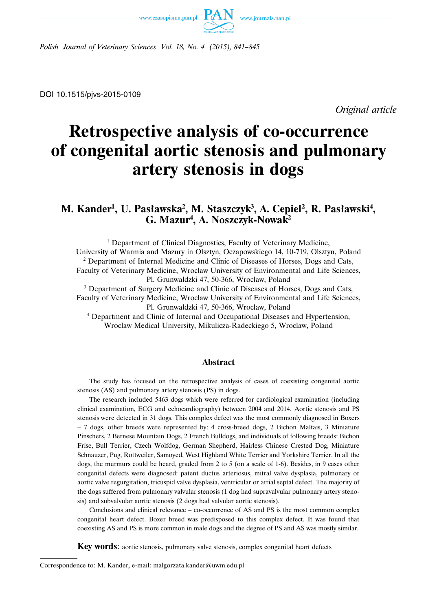



*Polish Journal of Veterinary Sciences Vol. 18, No. 4 (2015), 841–845*

DOI 10.1515/pjvs-2015-0109

*Original article*

# **Retrospective analysis of co-occurrence of congenital aortic stenosis and pulmonary artery stenosis in dogs**

# M. Kander<sup>1</sup>, U. Pasławska<sup>2</sup>, M. Staszczyk<sup>3</sup>, A. Cepiel<sup>2</sup>, R. Pasławski<sup>4</sup>, **G. Mazur4 , A. Noszczyk-Nowak2**

<sup>1</sup> Department of Clinical Diagnostics, Faculty of Veterinary Medicine, University of Warmia and Mazury in Olsztyn, Oczapowskiego 14, 10-719, Olsztyn, Poland <sup>2</sup> Department of Internal Medicine and Clinic of Diseases of Horses, Dogs and Cats, Faculty of Veterinary Medicine, Wroclaw University of Environmental and Life Sciences, Pl. Grunwaldzki 47, 50-366, Wroclaw, Poland

<sup>3</sup> Department of Surgery Medicine and Clinic of Diseases of Horses, Dogs and Cats, Faculty of Veterinary Medicine, Wroclaw University of Environmental and Life Sciences,

Pl. Grunwaldzki 47, 50-366, Wroclaw, Poland

<sup>4</sup> Department and Clinic of Internal and Occupational Diseases and Hypertension, Wroclaw Medical University, Mikulicza-Radeckiego 5, Wroclaw, Poland

#### **Abstract**

The study has focused on the retrospective analysis of cases of coexisting congenital aortic stenosis (AS) and pulmonary artery stenosis (PS) in dogs.

The research included 5463 dogs which were referred for cardiological examination (including clinical examination, ECG and echocardiography) between 2004 and 2014. Aortic stenosis and PS stenosis were detected in 31 dogs. This complex defect was the most commonly diagnosed in Boxers – 7 dogs, other breeds were represented by: 4 cross-breed dogs, 2 Bichon Maltais, 3 Miniature Pinschers, 2 Bernese Mountain Dogs, 2 French Bulldogs, and individuals of following breeds: Bichon Frise, Bull Terrier, Czech Wolfdog, German Shepherd, Hairless Chinese Crested Dog, Miniature Schnauzer, Pug, Rottweiler, Samoyed, West Highland White Terrier and Yorkshire Terrier. In all the dogs, the murmurs could be heard, graded from 2 to 5 (on a scale of 1-6). Besides, in 9 cases other congenital defects were diagnosed: patent ductus arteriosus, mitral valve dysplasia, pulmonary or aortic valve regurgitation, tricuspid valve dysplasia, ventricular or atrial septal defect. The majority of the dogs suffered from pulmonary valvular stenosis (1 dog had supravalvular pulmonary artery stenosis) and subvalvular aortic stenosis (2 dogs had valvular aortic stenosis).

Conclusions and clinical relevance – co-occurrence of AS and PS is the most common complex congenital heart defect. Boxer breed was predisposed to this complex defect. It was found that coexisting AS and PS is more common in male dogs and the degree of PS and AS was mostly similar.

**Key words**: aortic stenosis, pulmonary valve stenosis, complex congenital heart defects

Correspondence to: M. Kander, e-mail: malgorzata.kander@uwm.edu.pl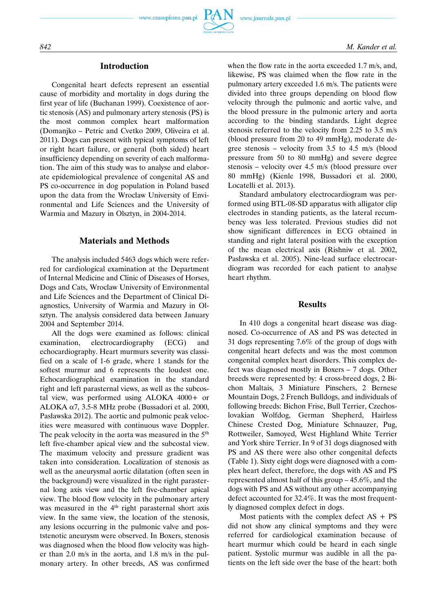

# **Introduction**

Congenital heart defects represent an essential cause of morbidity and mortality in dogs during the first year of life (Buchanan 1999). Coexistence of aortic stenosis (AS) and pulmonary artery stenosis (PS) is the most common complex heart malformation (Domanjko – Petric and Cvetko 2009, Oliveira et al. 2011). Dogs can present with typical symptoms of left or right heart failure, or general (both sided) heart insufficiency depending on severity of each malformation. The aim of this study was to analyse and elaborate epidemiological prevalence of congenital AS and PS co-occurrence in dog population in Poland based upon the data from the Wroclaw University of Environmental and Life Sciences and the University of Warmia and Mazury in Olsztyn, in 2004-2014.

# **Materials and Methods**

The analysis included 5463 dogs which were referred for cardiological examination at the Department of Internal Medicine and Clinic of Diseases of Horses, Dogs and Cats, Wroclaw University of Environmental and Life Sciences and the Department of Clinical Diagnostics, University of Warmia and Mazury in Olsztyn. The analysis considered data between January 2004 and September 2014.

All the dogs were examined as follows: clinical examination, electrocardiography (ECG) and echocardiography. Heart murmurs severity was classified on a scale of 1-6 grade, where 1 stands for the softest murmur and 6 represents the loudest one. Echocardiographical examination in the standard right and left parasternal views, as well as the subcostal view, was performed using ALOKA 4000+ or ALOKA  $\alpha$ 7, 3.5-8 MHz probe (Bussadori et al. 2000, Pasławska 2012). The aortic and pulmonic peak velocities were measured with continuous wave Doppler. The peak velocity in the aorta was measured in the 5<sup>th</sup> left five-chamber apical view and the subcostal view. The maximum velocity and pressure gradient was taken into consideration. Localization of stenosis as well as the aneurysmal aortic dilatation (often seen in the background) were visualized in the right parasternal long axis view and the left five-chamber apical view. The blood flow velocity in the pulmonary artery was measured in the 4<sup>th</sup> right parasternal short axis view. In the same view, the location of the stenosis, any lesions occurring in the pulmonic valve and poststenotic aneurysm were observed. In Boxers, stenosis was diagnosed when the blood flow velocity was higher than 2.0 m/s in the aorta, and 1.8 m/s in the pulmonary artery. In other breeds, AS was confirmed when the flow rate in the aorta exceeded 1.7 m/s, and, likewise, PS was claimed when the flow rate in the pulmonary artery exceeded 1.6 m/s. The patients were divided into three groups depending on blood flow velocity through the pulmonic and aortic valve, and the blood pressure in the pulmonic artery and aorta according to the binding standards. Light degree stenosis referred to the velocity from 2.25 to 3.5 m/s (blood pressure from 20 to 49 mmHg), moderate degree stenosis – velocity from 3.5 to 4.5 m/s (blood pressure from 50 to 80 mmHg) and severe degree stenosis – velocity over 4.5 m/s (blood pressure over 80 mmHg) (Kienle 1998, Bussadori et al. 2000, Locatelli et al. 2013).

Standard ambulatory electrocardiogram was performed using BTL-08-SD apparatus with alligator clip electrodes in standing patients, as the lateral recumbency was less tolerated. Previous studies did not show significant differences in ECG obtained in standing and right lateral position with the exception of the mean electrical axis (Rishniw et al. 2002, Pasławska et al. 2005). Nine-lead surface electrocardiogram was recorded for each patient to analyse heart rhythm.

#### **Results**

In 410 dogs a congenital heart disease was diagnosed. Co-occurrence of AS and PS was detected in 31 dogs representing 7.6% of the group of dogs with congenital heart defects and was the most common congenital complex heart disorders. This complex defect was diagnosed mostly in Boxers – 7 dogs. Other breeds were represented by: 4 cross-breed dogs, 2 Bichon Maltais, 3 Miniature Pinschers, 2 Bernese Mountain Dogs, 2 French Bulldogs, and individuals of following breeds: Bichon Frise, Bull Terrier, Czechoslovakian Wolfdog, German Shepherd, Hairless Chinese Crested Dog, Miniature Schnauzer, Pug, Rottweiler, Samoyed, West Highland White Terrier and York shire Terrier. In 9 of 31 dogs diagnosed with PS and AS there were also other congenital defects (Table 1). Sixty eight dogs were diagnosed with a complex heart defect, therefore, the dogs with AS and PS represented almost half of this group – 45.6%, and the dogs with PS and AS without any other accompanying defect accounted for 32.4%. It was the most frequently diagnosed complex defect in dogs.

Most patients with the complex defect  $AS + PS$ did not show any clinical symptoms and they were referred for cardiological examination because of heart murmur which could be heard in each single patient. Systolic murmur was audible in all the patients on the left side over the base of the heart: both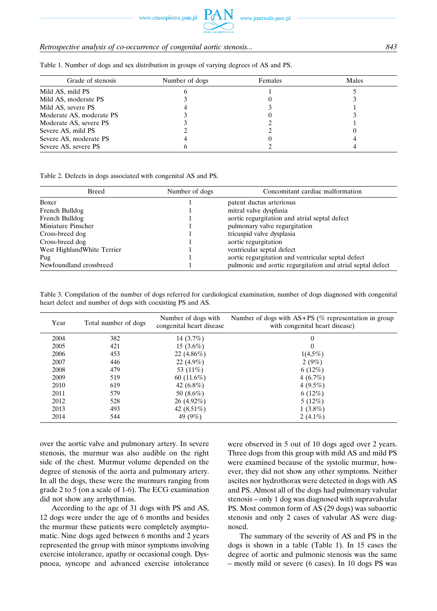www.czasopisma.pan.pl

# *Retrospective analysis of co-occurrence of congenital aortic stenosis... 843*

| Grade of stenosis        | Number of dogs | Females | Males |
|--------------------------|----------------|---------|-------|
| Mild AS, mild PS         |                |         |       |
| Mild AS, moderate PS     |                |         |       |
| Mild AS, severe PS       |                |         |       |
| Moderate AS, moderate PS |                |         |       |
| Moderate AS, severe PS   |                |         |       |
| Severe AS, mild PS       |                |         |       |
| Severe AS, moderate PS   |                |         |       |
| Severe AS, severe PS     |                |         |       |

Table 1. Number of dogs and sex distribution in groups of varying degrees of AS and PS.

Table 2. Defects in dogs associated with congenital AS and PS.

| Breed                       | Number of dogs | Concomitant cardiac malformation                           |  |
|-----------------------------|----------------|------------------------------------------------------------|--|
| Boxer                       |                | patent ductus arteriosus                                   |  |
| French Bulldog              |                | mitral valve dysplasia                                     |  |
| French Bulldog              |                | aortic regurgitation and atrial septal defect              |  |
| Miniature Pinscher          |                | pulmonary valve regurgitation                              |  |
| Cross-breed dog             |                | tricuspid valve dysplasia                                  |  |
| Cross-breed dog             |                | aortic regurgitation                                       |  |
| West Highland White Terrier |                | ventricular septal defect                                  |  |
| Pug                         |                | aortic regurgitation and ventricular septal defect         |  |
| Newfoundland crossbreed     |                | pulmonic and aortic regurgitation and atrial septal defect |  |

Table 3. Compilation of the number of dogs referred for cardiological examination, number of dogs diagnosed with congenital heart defect and number of dogs with coexisting PS and AS.

| Year | Total number of dogs | Number of dogs with<br>congenital heart disease | Number of dogs with $AS+PS$ (% representation in group<br>with congenital heart disease) |  |
|------|----------------------|-------------------------------------------------|------------------------------------------------------------------------------------------|--|
| 2004 | 382                  | 14 $(3.7%)$                                     |                                                                                          |  |
| 2005 | 421                  | 15 $(3.6\%)$                                    |                                                                                          |  |
| 2006 | 453                  | 22 $(4.86\%)$                                   | $1(4,5\%)$                                                                               |  |
| 2007 | 446                  | 22 $(4.9\%)$                                    | 2(9%)                                                                                    |  |
| 2008 | 479                  | 53 (11\%)                                       | 6(12%)                                                                                   |  |
| 2009 | 519                  | 60 $(11.6\%)$                                   | 4(6.7%)                                                                                  |  |
| 2010 | 619                  | 42 $(6.8\%)$                                    | 4 $(9.5\%)$                                                                              |  |
| 2011 | 579                  | 50 $(8.6\%)$                                    | $6(12\%)$                                                                                |  |
| 2012 | 528                  | $26(4.92\%)$                                    | $5(12\%)$                                                                                |  |
| 2013 | 493                  | 42 $(8.51\%)$                                   | $1(3.8\%)$                                                                               |  |
| 2014 | 544                  | 49 $(9%)$                                       | 2 $(4.1\%)$                                                                              |  |

over the aortic valve and pulmonary artery. In severe stenosis, the murmur was also audible on the right side of the chest. Murmur volume depended on the degree of stenosis of the aorta and pulmonary artery. In all the dogs, these were the murmurs ranging from grade 2 to 5 (on a scale of 1-6). The ECG examination did not show any arrhythmias.

According to the age of 31 dogs with PS and AS, 12 dogs were under the age of 6 months and besides the murmur these patients were completely asymptomatic. Nine dogs aged between 6 months and 2 years represented the group with minor symptoms involving exercise intolerance, apathy or occasional cough. Dyspnoea, syncope and advanced exercise intolerance were observed in 5 out of 10 dogs aged over 2 years. Three dogs from this group with mild AS and mild PS were examined because of the systolic murmur, however, they did not show any other symptoms. Neither ascites nor hydrothorax were detected in dogs with AS and PS. Almost all of the dogs had pulmonary valvular stenosis – only 1 dog was diagnosed with supravalvular PS. Most common form of AS (29 dogs) was subaortic stenosis and only 2 cases of valvular AS were diagnosed.

The summary of the severity of AS and PS in the dogs is shown in a table (Table 1). In 15 cases the degree of aortic and pulmonic stenosis was the same – mostly mild or severe (6 cases). In 10 dogs PS was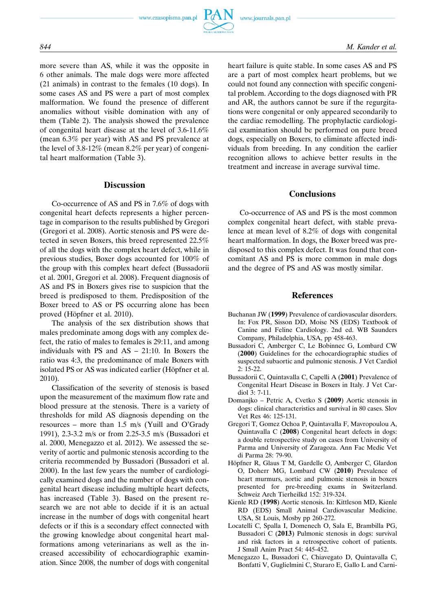

more severe than AS, while it was the opposite in 6 other animals. The male dogs were more affected (21 animals) in contrast to the females (10 dogs). In some cases AS and PS were a part of most complex malformation. We found the presence of different anomalies without visible domination with any of them (Table 2). The analysis showed the prevalence of congenital heart disease at the level of 3.6-11.6% (mean 6.3% per year) with AS and PS prevalence at the level of 3.8-12% (mean 8.2% per year) of congenital heart malformation (Table 3).

## **Discussion**

Co-occurrence of AS and PS in 7.6% of dogs with congenital heart defects represents a higher percentage in comparison to the results published by Gregori (Gregori et al. 2008). Aortic stenosis and PS were detected in seven Boxers, this breed represented 22.5% of all the dogs with the complex heart defect, while in previous studies, Boxer dogs accounted for 100% of the group with this complex heart defect (Bussadorii et al. 2001, Gregori et al. 2008). Frequent diagnosis of AS and PS in Boxers gives rise to suspicion that the breed is predisposed to them. Predisposition of the Boxer breed to AS or PS occurring alone has been proved (Höpfner et al. 2010).

The analysis of the sex distribution shows that males predominate among dogs with any complex defect, the ratio of males to females is 29:11, and among individuals with PS and AS – 21:10. In Boxers the ratio was 4:3, the predominance of male Boxers with isolated PS or AS was indicated earlier (Höpfner et al. 2010).

Classification of the severity of stenosis is based upon the measurement of the maximum flow rate and blood pressure at the stenosis. There is a variety of thresholds for mild AS diagnosis depending on the resources – more than 1.5 m/s (Yuill and O'Grady 1991), 2.3-3.2 m/s or from 2.25-3.5 m/s (Bussadori et al. 2000, Menegazzo et al. 2012). We assessed the severity of aortic and pulmonic stenosis according to the criteria recommended by Bussadori (Bussadori et al. 2000). In the last few years the number of cardiologically examined dogs and the number of dogs with congenital heart disease including multiple heart defects, has increased (Table 3). Based on the present research we are not able to decide if it is an actual increase in the number of dogs with congenital heart defects or if this is a secondary effect connected with the growing knowledge about congenital heart malformations among veterinarians as well as the increased accessibility of echocardiographic examination. Since 2008, the number of dogs with congenital heart failure is quite stable. In some cases AS and PS are a part of most complex heart problems, but we could not found any connection with specific congenital problem. According to the dogs diagnosed with PR and AR, the authors cannot be sure if the regurgitations were congenital or only appeared secondarily to the cardiac remodelling. The prophylactic cardiological examination should be performed on pure breed dogs, especially on Boxers, to eliminate affected individuals from breeding. In any condition the earlier recognition allows to achieve better results in the treatment and increase in average survival time.

## **Conclusions**

Co-occurrence of AS and PS is the most common complex congenital heart defect, with stable prevalence at mean level of 8.2% of dogs with congenital heart malformation. In dogs, the Boxer breed was predisposed to this complex defect. It was found that concomitant AS and PS is more common in male dogs and the degree of PS and AS was mostly similar.

#### **References**

- Buchanan JW (**1999**) Prevalence of cardiovascular disorders. In: Fox PR, Sisson DD, Moise NS (EDS) Textbook of Canine and Feline Cardiology. 2nd ed. WB Saunders Company, Philadelphia, USA, pp 458-463.
- Bussadori C, Amberger C, Le Bobinnec G, Lombard CW (**2000**) Guidelines for the echocardiographic studies of suspected subaortic and pulmonic stenosis. J Vet Cardiol 2: 15-22.
- Bussadorii C, Quintavalla C, Capelli A (**2001**) Prevalence of Congenital Heart Disease in Boxers in Italy. J Vet Cardiol 3: 7-11.
- Domanjko Petric A, Cvetko S (**2009**) Aortic stenosis in dogs: clinical characteristics and survival in 80 cases. Slov Vet Res 46: 125-131.
- Gregori T, Gomez Ochoa P, Quintavalla F, Mavropoulou A, Quintavalla C (**2008**) Congenital heart defects in dogs: a double retrospective study on cases from University of Parma and University of Zaragoza. Ann Fac Medic Vet di Parma 28: 79-90.
- Höpfner R, Glaus T M, Gardelle O, Amberger C, Glardon O, Doherr MG, Lombard CW (**2010**) Prevalence of heart murmurs, aortic and pulmonic stenosis in boxers presented for pre-breeding exams in Switzerland. Schweiz Arch Tierheilkd 152: 319-324.
- Kienle RD (**1998**) Aortic stenosis. In: Kittleson MD, Kienle RD (EDS) Small Animal Cardiovascular Medicine. USA, St Louis, Mosby pp 260-272.
- Locatelli C, Spalla I, Domenech O, Sala E, Brambilla PG, Bussadori C (**2013**) Pulmonic stenosis in dogs: survival and risk factors in a retrospective cohort of patients. J Small Anim Pract 54: 445-452.
- Menegazzo L, Bussadori C, Chiavegato D, Quintavalla C, Bonfatti V, Guglielmini C, Sturaro E, Gallo L and Carni-